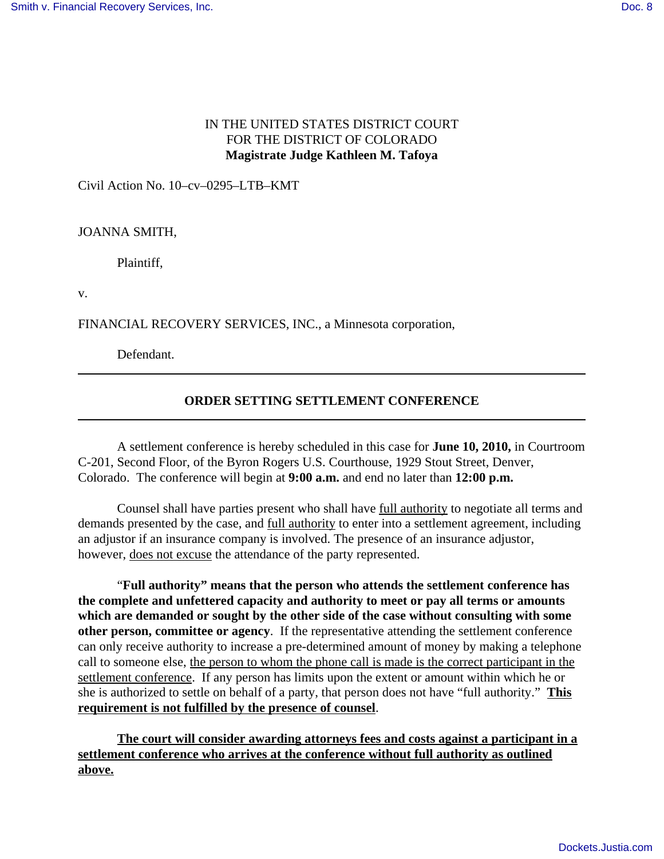## IN THE UNITED STATES DISTRICT COURT FOR THE DISTRICT OF COLORADO **Magistrate Judge Kathleen M. Tafoya**

Civil Action No. 10–cv–0295–LTB–KMT

## JOANNA SMITH,

Plaintiff,

v.

FINANCIAL RECOVERY SERVICES, INC., a Minnesota corporation,

Defendant.

## **ORDER SETTING SETTLEMENT CONFERENCE**

A settlement conference is hereby scheduled in this case for **June 10, 2010,** in Courtroom C-201, Second Floor, of the Byron Rogers U.S. Courthouse, 1929 Stout Street, Denver, Colorado. The conference will begin at **9:00 a.m.** and end no later than **12:00 p.m.**

Counsel shall have parties present who shall have full authority to negotiate all terms and demands presented by the case, and full authority to enter into a settlement agreement, including an adjustor if an insurance company is involved. The presence of an insurance adjustor, however, does not excuse the attendance of the party represented.

"**Full authority" means that the person who attends the settlement conference has the complete and unfettered capacity and authority to meet or pay all terms or amounts which are demanded or sought by the other side of the case without consulting with some other person, committee or agency**. If the representative attending the settlement conference can only receive authority to increase a pre-determined amount of money by making a telephone call to someone else, the person to whom the phone call is made is the correct participant in the settlement conference. If any person has limits upon the extent or amount within which he or she is authorized to settle on behalf of a party, that person does not have "full authority." **This requirement is not fulfilled by the presence of counsel**.

**The court will consider awarding attorneys fees and costs against a participant in a settlement conference who arrives at the conference without full authority as outlined above.**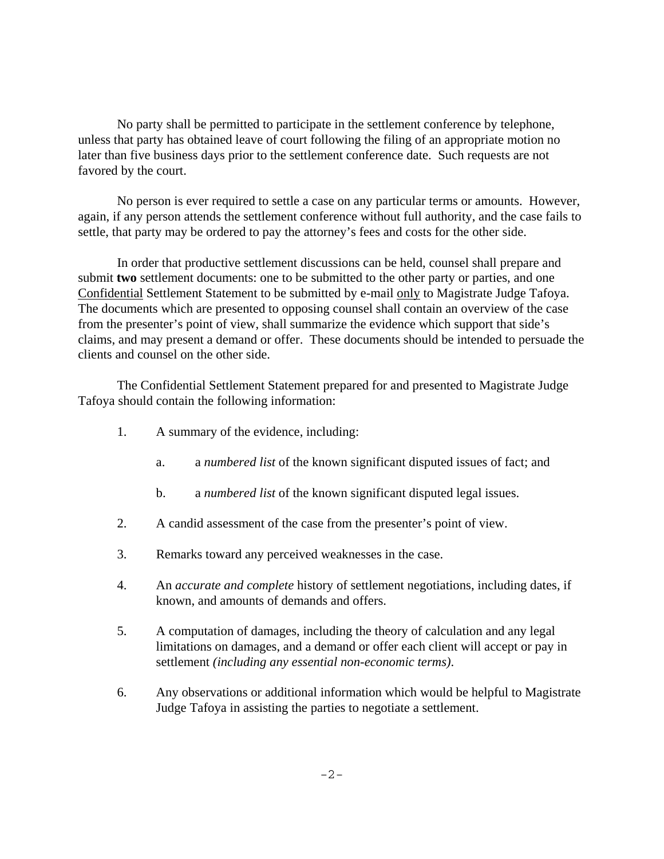No party shall be permitted to participate in the settlement conference by telephone, unless that party has obtained leave of court following the filing of an appropriate motion no later than five business days prior to the settlement conference date. Such requests are not favored by the court.

No person is ever required to settle a case on any particular terms or amounts. However, again, if any person attends the settlement conference without full authority, and the case fails to settle, that party may be ordered to pay the attorney's fees and costs for the other side.

In order that productive settlement discussions can be held, counsel shall prepare and submit **two** settlement documents: one to be submitted to the other party or parties, and one Confidential Settlement Statement to be submitted by e-mail only to Magistrate Judge Tafoya. The documents which are presented to opposing counsel shall contain an overview of the case from the presenter's point of view, shall summarize the evidence which support that side's claims, and may present a demand or offer. These documents should be intended to persuade the clients and counsel on the other side.

The Confidential Settlement Statement prepared for and presented to Magistrate Judge Tafoya should contain the following information:

- 1. A summary of the evidence, including:
	- a. a *numbered list* of the known significant disputed issues of fact; and
	- b. a *numbered list* of the known significant disputed legal issues.
- 2. A candid assessment of the case from the presenter's point of view.
- 3. Remarks toward any perceived weaknesses in the case.
- 4. An *accurate and complete* history of settlement negotiations, including dates, if known, and amounts of demands and offers.
- 5. A computation of damages, including the theory of calculation and any legal limitations on damages, and a demand or offer each client will accept or pay in settlement *(including any essential non-economic terms)*.
- 6. Any observations or additional information which would be helpful to Magistrate Judge Tafoya in assisting the parties to negotiate a settlement.